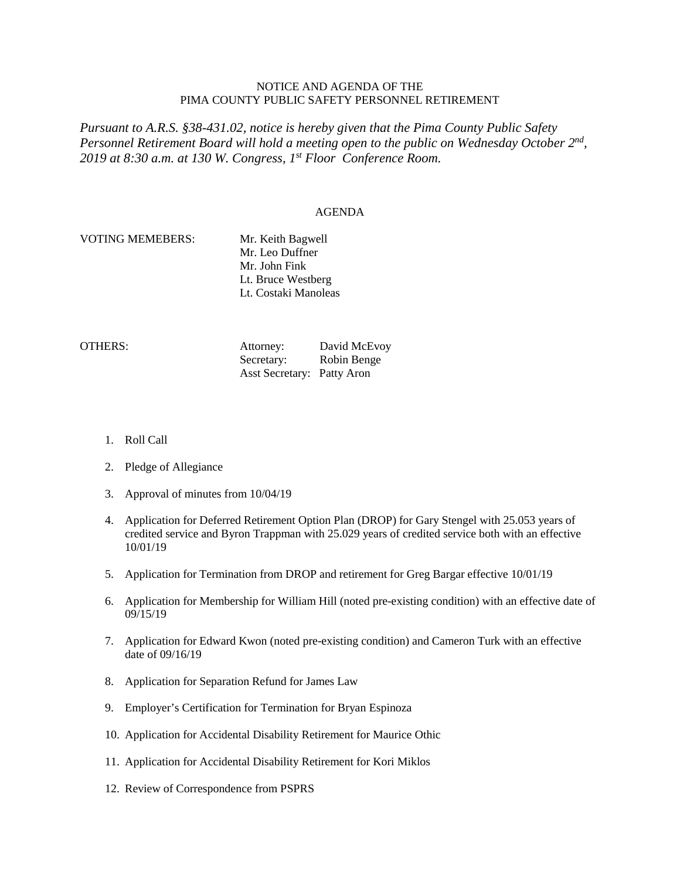## NOTICE AND AGENDA OF THE PIMA COUNTY PUBLIC SAFETY PERSONNEL RETIREMENT

*Pursuant to A.R.S. §38-431.02, notice is hereby given that the Pima County Public Safety Personnel Retirement Board will hold a meeting open to the public on Wednesday October 2nd, 2019 at 8:30 a.m. at 130 W. Congress, 1st Floor Conference Room.*

## AGENDA

## VOTING MEMEBERS: Mr. Keith Bagwell

Mr. Leo Duffner Mr. John Fink Lt. Bruce Westberg Lt. Costaki Manoleas

OTHERS: Attorney: David McEvoy Secretary: Robin Benge Asst Secretary: Patty Aron

- 1. Roll Call
- 2. Pledge of Allegiance
- 3. Approval of minutes from 10/04/19
- 4. Application for Deferred Retirement Option Plan (DROP) for Gary Stengel with 25.053 years of credited service and Byron Trappman with 25.029 years of credited service both with an effective 10/01/19
- 5. Application for Termination from DROP and retirement for Greg Bargar effective 10/01/19
- 6. Application for Membership for William Hill (noted pre-existing condition) with an effective date of 09/15/19
- 7. Application for Edward Kwon (noted pre-existing condition) and Cameron Turk with an effective date of 09/16/19
- 8. Application for Separation Refund for James Law
- 9. Employer's Certification for Termination for Bryan Espinoza
- 10. Application for Accidental Disability Retirement for Maurice Othic
- 11. Application for Accidental Disability Retirement for Kori Miklos
- 12. Review of Correspondence from PSPRS